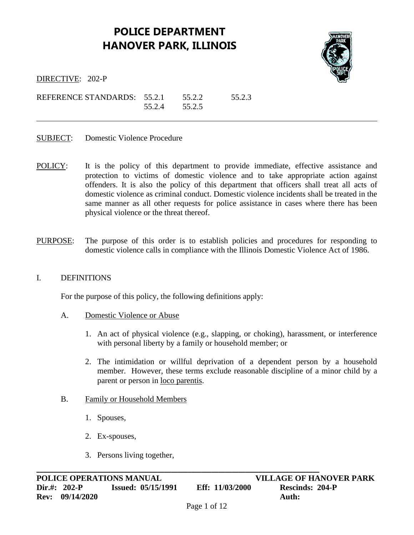# **POLICE DEPARTMENT HANOVER PARK, ILLINOIS**



DIRECTIVE: 202-P

REFERENCE STANDARDS: 55.2.1 55.2.2 55.2.3 55.2.4 55.2.5

- SUBJECT: Domestic Violence Procedure
- POLICY: It is the policy of this department to provide immediate, effective assistance and protection to victims of domestic violence and to take appropriate action against offenders. It is also the policy of this department that officers shall treat all acts of domestic violence as criminal conduct. Domestic violence incidents shall be treated in the same manner as all other requests for police assistance in cases where there has been physical violence or the threat thereof.
- PURPOSE: The purpose of this order is to establish policies and procedures for responding to domestic violence calls in compliance with the Illinois Domestic Violence Act of 1986.

#### I. DEFINITIONS

For the purpose of this policy, the following definitions apply:

- A. Domestic Violence or Abuse
	- 1. An act of physical violence (e.g., slapping, or choking), harassment, or interference with personal liberty by a family or household member; or
	- 2. The intimidation or willful deprivation of a dependent person by a household member. However, these terms exclude reasonable discipline of a minor child by a parent or person in loco parentis.

#### B. Family or Household Members

- 1. Spouses,
- 2. Ex-spouses,
- 3. Persons living together,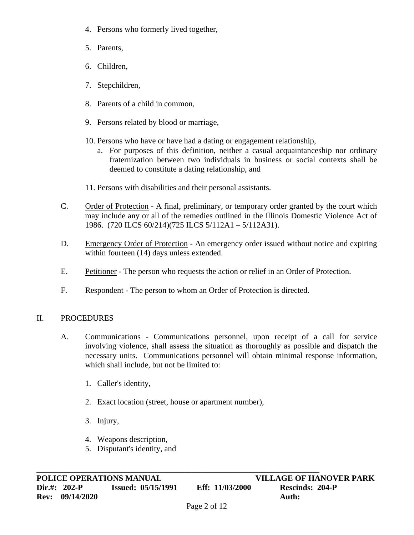- 4. Persons who formerly lived together,
- 5. Parents,
- 6. Children,
- 7. Stepchildren,
- 8. Parents of a child in common,
- 9. Persons related by blood or marriage,
- 10. Persons who have or have had a dating or engagement relationship,
	- a. For purposes of this definition, neither a casual acquaintanceship nor ordinary fraternization between two individuals in business or social contexts shall be deemed to constitute a dating relationship, and
- 11. Persons with disabilities and their personal assistants.
- C. Order of Protection A final, preliminary, or temporary order granted by the court which may include any or all of the remedies outlined in the Illinois Domestic Violence Act of 1986. (720 ILCS 60/214)(725 ILCS 5/112A1 – 5/112A31).
- D. Emergency Order of Protection An emergency order issued without notice and expiring within fourteen (14) days unless extended.
- E. Petitioner The person who requests the action or relief in an Order of Protection.
- F. Respondent The person to whom an Order of Protection is directed.

## II. PROCEDURES

- A. Communications Communications personnel, upon receipt of a call for service involving violence, shall assess the situation as thoroughly as possible and dispatch the necessary units. Communications personnel will obtain minimal response information, which shall include, but not be limited to:
	- 1. Caller's identity,
	- 2. Exact location (street, house or apartment number),

- 3. Injury,
- 4. Weapons description,
- 5. Disputant's identity, and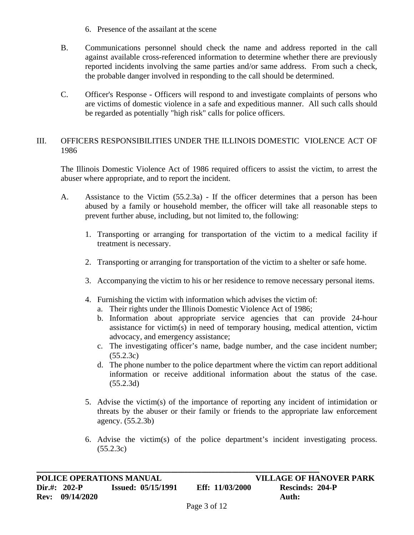- 6. Presence of the assailant at the scene
- B. Communications personnel should check the name and address reported in the call against available cross-referenced information to determine whether there are previously reported incidents involving the same parties and/or same address. From such a check, the probable danger involved in responding to the call should be determined.
- C. Officer's Response Officers will respond to and investigate complaints of persons who are victims of domestic violence in a safe and expeditious manner. All such calls should be regarded as potentially "high risk" calls for police officers.

### III. OFFICERS RESPONSIBILITIES UNDER THE ILLINOIS DOMESTIC VIOLENCE ACT OF 1986

The Illinois Domestic Violence Act of 1986 required officers to assist the victim, to arrest the abuser where appropriate, and to report the incident.

- A. Assistance to the Victim (55.2.3a) If the officer determines that a person has been abused by a family or household member, the officer will take all reasonable steps to prevent further abuse, including, but not limited to, the following:
	- 1. Transporting or arranging for transportation of the victim to a medical facility if treatment is necessary.
	- 2. Transporting or arranging for transportation of the victim to a shelter or safe home.
	- 3. Accompanying the victim to his or her residence to remove necessary personal items.
	- 4. Furnishing the victim with information which advises the victim of:
		- a. Their rights under the Illinois Domestic Violence Act of 1986;
		- b. Information about appropriate service agencies that can provide 24-hour assistance for victim(s) in need of temporary housing, medical attention, victim advocacy, and emergency assistance;
		- c. The investigating officer's name, badge number, and the case incident number; (55.2.3c)
		- d. The phone number to the police department where the victim can report additional information or receive additional information about the status of the case. (55.2.3d)
	- 5. Advise the victim(s) of the importance of reporting any incident of intimidation or threats by the abuser or their family or friends to the appropriate law enforcement agency. (55.2.3b)
	- 6. Advise the victim(s) of the police department's incident investigating process. (55.2.3c)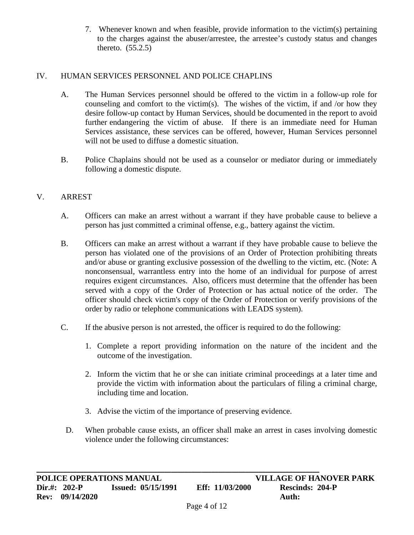7. Whenever known and when feasible, provide information to the victim(s) pertaining to the charges against the abuser/arrestee, the arrestee's custody status and changes thereto. (55.2.5)

### IV. HUMAN SERVICES PERSONNEL AND POLICE CHAPLINS

- A. The Human Services personnel should be offered to the victim in a follow-up role for counseling and comfort to the victim(s). The wishes of the victim, if and /or how they desire follow-up contact by Human Services, should be documented in the report to avoid further endangering the victim of abuse. If there is an immediate need for Human Services assistance, these services can be offered, however, Human Services personnel will not be used to diffuse a domestic situation.
- B. Police Chaplains should not be used as a counselor or mediator during or immediately following a domestic dispute.

### V. ARREST

- A. Officers can make an arrest without a warrant if they have probable cause to believe a person has just committed a criminal offense, e.g., battery against the victim.
- B. Officers can make an arrest without a warrant if they have probable cause to believe the person has violated one of the provisions of an Order of Protection prohibiting threats and/or abuse or granting exclusive possession of the dwelling to the victim, etc. (Note: A nonconsensual, warrantless entry into the home of an individual for purpose of arrest requires exigent circumstances. Also, officers must determine that the offender has been served with a copy of the Order of Protection or has actual notice of the order. The officer should check victim's copy of the Order of Protection or verify provisions of the order by radio or telephone communications with LEADS system).
- C. If the abusive person is not arrested, the officer is required to do the following:
	- 1. Complete a report providing information on the nature of the incident and the outcome of the investigation.
	- 2. Inform the victim that he or she can initiate criminal proceedings at a later time and provide the victim with information about the particulars of filing a criminal charge, including time and location.
	- 3. Advise the victim of the importance of preserving evidence.

**\_\_\_\_\_\_\_\_\_\_\_\_\_\_\_\_\_\_\_\_\_\_\_\_\_\_\_\_\_\_\_\_\_\_\_\_\_\_\_\_\_\_\_\_\_\_\_\_\_\_\_\_\_\_\_\_\_\_\_\_\_\_\_\_\_\_\_\_\_\_\_\_\_\_\_\_\_\_\_\_\_\_\_\_**

D. When probable cause exists, an officer shall make an arrest in cases involving domestic violence under the following circumstances: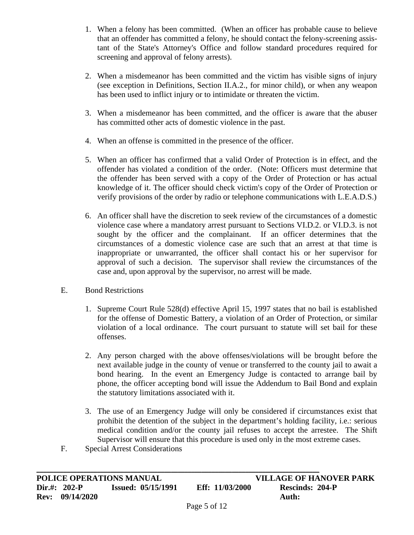- 1. When a felony has been committed. (When an officer has probable cause to believe that an offender has committed a felony, he should contact the felony-screening assistant of the State's Attorney's Office and follow standard procedures required for screening and approval of felony arrests).
- 2. When a misdemeanor has been committed and the victim has visible signs of injury (see exception in Definitions, Section II.A.2., for minor child), or when any weapon has been used to inflict injury or to intimidate or threaten the victim.
- 3. When a misdemeanor has been committed, and the officer is aware that the abuser has committed other acts of domestic violence in the past.
- 4. When an offense is committed in the presence of the officer.
- 5. When an officer has confirmed that a valid Order of Protection is in effect, and the offender has violated a condition of the order. (Note: Officers must determine that the offender has been served with a copy of the Order of Protection or has actual knowledge of it. The officer should check victim's copy of the Order of Protection or verify provisions of the order by radio or telephone communications with L.E.A.D.S.)
- 6. An officer shall have the discretion to seek review of the circumstances of a domestic violence case where a mandatory arrest pursuant to Sections VI.D.2. or VI.D.3. is not sought by the officer and the complainant. If an officer determines that the circumstances of a domestic violence case are such that an arrest at that time is inappropriate or unwarranted, the officer shall contact his or her supervisor for approval of such a decision. The supervisor shall review the circumstances of the case and, upon approval by the supervisor, no arrest will be made.
- E. Bond Restrictions
	- 1. Supreme Court Rule 528(d) effective April 15, 1997 states that no bail is established for the offense of Domestic Battery, a violation of an Order of Protection, or similar violation of a local ordinance. The court pursuant to statute will set bail for these offenses.
	- 2. Any person charged with the above offenses/violations will be brought before the next available judge in the county of venue or transferred to the county jail to await a bond hearing. In the event an Emergency Judge is contacted to arrange bail by phone, the officer accepting bond will issue the Addendum to Bail Bond and explain the statutory limitations associated with it.
	- 3. The use of an Emergency Judge will only be considered if circumstances exist that prohibit the detention of the subject in the department's holding facility, i.e.: serious medical condition and/or the county jail refuses to accept the arrestee. The Shift Supervisor will ensure that this procedure is used only in the most extreme cases.
- F. Special Arrest Considerations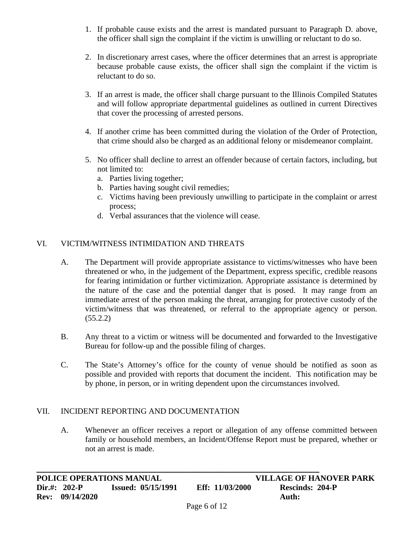- 1. If probable cause exists and the arrest is mandated pursuant to Paragraph D. above, the officer shall sign the complaint if the victim is unwilling or reluctant to do so.
- 2. In discretionary arrest cases, where the officer determines that an arrest is appropriate because probable cause exists, the officer shall sign the complaint if the victim is reluctant to do so.
- 3. If an arrest is made, the officer shall charge pursuant to the Illinois Compiled Statutes and will follow appropriate departmental guidelines as outlined in current Directives that cover the processing of arrested persons.
- 4. If another crime has been committed during the violation of the Order of Protection, that crime should also be charged as an additional felony or misdemeanor complaint.
- 5. No officer shall decline to arrest an offender because of certain factors, including, but not limited to:
	- a. Parties living together;
	- b. Parties having sought civil remedies;
	- c. Victims having been previously unwilling to participate in the complaint or arrest process;
	- d. Verbal assurances that the violence will cease.

## VI. VICTIM/WITNESS INTIMIDATION AND THREATS

- A. The Department will provide appropriate assistance to victims/witnesses who have been threatened or who, in the judgement of the Department, express specific, credible reasons for fearing intimidation or further victimization. Appropriate assistance is determined by the nature of the case and the potential danger that is posed. It may range from an immediate arrest of the person making the threat, arranging for protective custody of the victim/witness that was threatened, or referral to the appropriate agency or person.  $(55.2.2)$
- B. Any threat to a victim or witness will be documented and forwarded to the Investigative Bureau for follow-up and the possible filing of charges.
- C. The State's Attorney's office for the county of venue should be notified as soon as possible and provided with reports that document the incident. This notification may be by phone, in person, or in writing dependent upon the circumstances involved.

## VII. INCIDENT REPORTING AND DOCUMENTATION

A. Whenever an officer receives a report or allegation of any offense committed between family or household members, an Incident/Offense Report must be prepared, whether or not an arrest is made.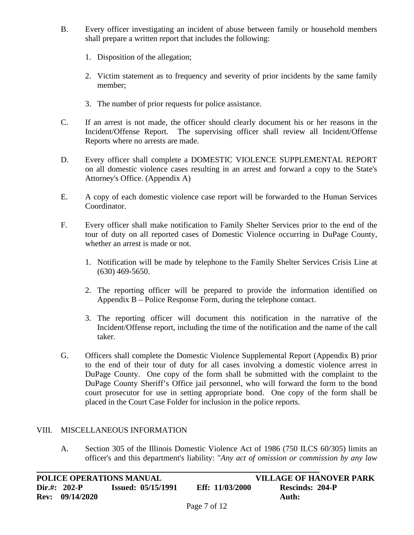- B. Every officer investigating an incident of abuse between family or household members shall prepare a written report that includes the following:
	- 1. Disposition of the allegation;
	- 2. Victim statement as to frequency and severity of prior incidents by the same family member;
	- 3. The number of prior requests for police assistance.
- C. If an arrest is not made, the officer should clearly document his or her reasons in the Incident/Offense Report. The supervising officer shall review all Incident/Offense Reports where no arrests are made.
- D. Every officer shall complete a DOMESTIC VIOLENCE SUPPLEMENTAL REPORT on all domestic violence cases resulting in an arrest and forward a copy to the State's Attorney's Office. (Appendix A)
- E. A copy of each domestic violence case report will be forwarded to the Human Services Coordinator.
- F. Every officer shall make notification to Family Shelter Services prior to the end of the tour of duty on all reported cases of Domestic Violence occurring in DuPage County, whether an arrest is made or not.
	- 1. Notification will be made by telephone to the Family Shelter Services Crisis Line at (630) 469-5650.
	- 2. The reporting officer will be prepared to provide the information identified on Appendix B – Police Response Form, during the telephone contact.
	- 3. The reporting officer will document this notification in the narrative of the Incident/Offense report, including the time of the notification and the name of the call taker.
- G. Officers shall complete the Domestic Violence Supplemental Report (Appendix B) prior to the end of their tour of duty for all cases involving a domestic violence arrest in DuPage County. One copy of the form shall be submitted with the complaint to the DuPage County Sheriff's Office jail personnel, who will forward the form to the bond court prosecutor for use in setting appropriate bond. One copy of the form shall be placed in the Court Case Folder for inclusion in the police reports.

#### VIII. MISCELLANEOUS INFORMATION

A. Section 305 of the Illinois Domestic Violence Act of 1986 (750 ILCS 60/305) limits an officer's and this department's liability: "*Any act of omission or commission by any law*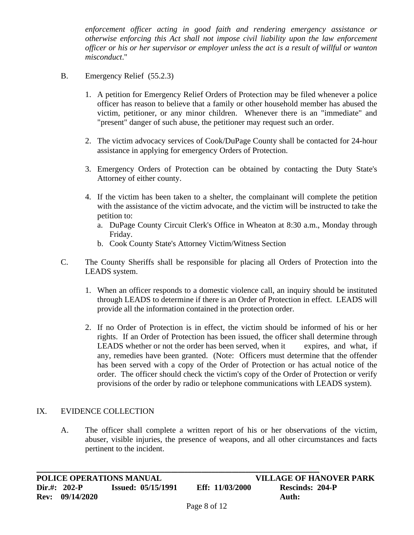*enforcement officer acting in good faith and rendering emergency assistance or otherwise enforcing this Act shall not impose civil liability upon the law enforcement officer or his or her supervisor or employer unless the act is a result of willful or wanton misconduct*."

- B. Emergency Relief (55.2.3)
	- 1. A petition for Emergency Relief Orders of Protection may be filed whenever a police officer has reason to believe that a family or other household member has abused the victim, petitioner, or any minor children. Whenever there is an "immediate" and "present" danger of such abuse, the petitioner may request such an order.
	- 2. The victim advocacy services of Cook/DuPage County shall be contacted for 24-hour assistance in applying for emergency Orders of Protection.
	- 3. Emergency Orders of Protection can be obtained by contacting the Duty State's Attorney of either county.
	- 4. If the victim has been taken to a shelter, the complainant will complete the petition with the assistance of the victim advocate, and the victim will be instructed to take the petition to:
		- a. DuPage County Circuit Clerk's Office in Wheaton at 8:30 a.m., Monday through Friday.
		- b. Cook County State's Attorney Victim/Witness Section
- C. The County Sheriffs shall be responsible for placing all Orders of Protection into the LEADS system.
	- 1. When an officer responds to a domestic violence call, an inquiry should be instituted through LEADS to determine if there is an Order of Protection in effect. LEADS will provide all the information contained in the protection order.
	- 2. If no Order of Protection is in effect, the victim should be informed of his or her rights. If an Order of Protection has been issued, the officer shall determine through LEADS whether or not the order has been served, when it expires, and what, if any, remedies have been granted. (Note: Officers must determine that the offender has been served with a copy of the Order of Protection or has actual notice of the order. The officer should check the victim's copy of the Order of Protection or verify provisions of the order by radio or telephone communications with LEADS system).

#### IX. EVIDENCE COLLECTION

A. The officer shall complete a written report of his or her observations of the victim, abuser, visible injuries, the presence of weapons, and all other circumstances and facts pertinent to the incident.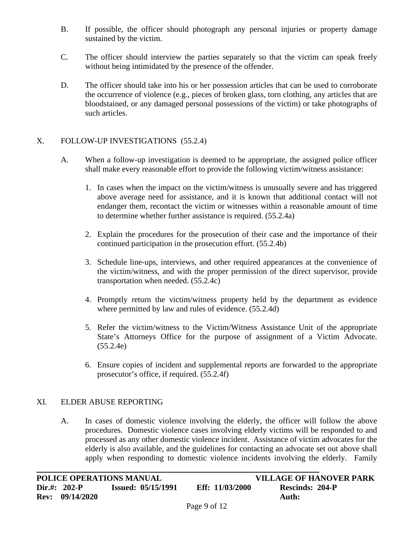- B. If possible, the officer should photograph any personal injuries or property damage sustained by the victim.
- C. The officer should interview the parties separately so that the victim can speak freely without being intimidated by the presence of the offender.
- D. The officer should take into his or her possession articles that can be used to corroborate the occurrence of violence (e.g., pieces of broken glass, torn clothing, any articles that are bloodstained, or any damaged personal possessions of the victim) or take photographs of such articles.

### X. FOLLOW-UP INVESTIGATIONS (55.2.4)

- A. When a follow-up investigation is deemed to be appropriate, the assigned police officer shall make every reasonable effort to provide the following victim/witness assistance:
	- 1. In cases when the impact on the victim/witness is unusually severe and has triggered above average need for assistance, and it is known that additional contact will not endanger them, recontact the victim or witnesses within a reasonable amount of time to determine whether further assistance is required. (55.2.4a)
	- 2. Explain the procedures for the prosecution of their case and the importance of their continued participation in the prosecution effort. (55.2.4b)
	- 3. Schedule line-ups, interviews, and other required appearances at the convenience of the victim/witness, and with the proper permission of the direct supervisor, provide transportation when needed. (55.2.4c)
	- 4. Promptly return the victim/witness property held by the department as evidence where permitted by law and rules of evidence.  $(55.2.4d)$
	- 5. Refer the victim/witness to the Victim/Witness Assistance Unit of the appropriate State's Attorneys Office for the purpose of assignment of a Victim Advocate. (55.2.4e)
	- 6. Ensure copies of incident and supplemental reports are forwarded to the appropriate prosecutor's office, if required. (55.2.4f)

#### XI. ELDER ABUSE REPORTING

A. In cases of domestic violence involving the elderly, the officer will follow the above procedures. Domestic violence cases involving elderly victims will be responded to and processed as any other domestic violence incident. Assistance of victim advocates for the elderly is also available, and the guidelines for contacting an advocate set out above shall apply when responding to domestic violence incidents involving the elderly. Family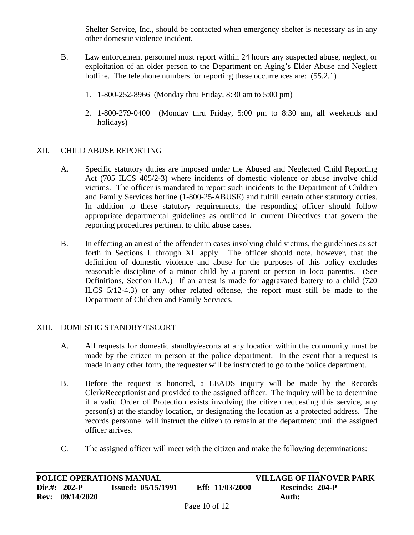Shelter Service, Inc., should be contacted when emergency shelter is necessary as in any other domestic violence incident.

- B. Law enforcement personnel must report within 24 hours any suspected abuse, neglect, or exploitation of an older person to the Department on Aging's Elder Abuse and Neglect hotline. The telephone numbers for reporting these occurrences are:  $(55.2.1)$ 
	- 1. 1-800-252-8966 (Monday thru Friday, 8:30 am to 5:00 pm)
	- 2. 1-800-279-0400 (Monday thru Friday, 5:00 pm to 8:30 am, all weekends and holidays)

## XII. CHILD ABUSE REPORTING

- A. Specific statutory duties are imposed under the Abused and Neglected Child Reporting Act (705 ILCS 405/2-3) where incidents of domestic violence or abuse involve child victims. The officer is mandated to report such incidents to the Department of Children and Family Services hotline (1-800-25-ABUSE) and fulfill certain other statutory duties. In addition to these statutory requirements, the responding officer should follow appropriate departmental guidelines as outlined in current Directives that govern the reporting procedures pertinent to child abuse cases.
- B. In effecting an arrest of the offender in cases involving child victims, the guidelines as set forth in Sections I. through XI. apply. The officer should note, however, that the definition of domestic violence and abuse for the purposes of this policy excludes reasonable discipline of a minor child by a parent or person in loco parentis. (See Definitions, Section II.A.) If an arrest is made for aggravated battery to a child (720) ILCS 5/12-4.3) or any other related offense, the report must still be made to the Department of Children and Family Services.

#### XIII. DOMESTIC STANDBY/ESCORT

- A. All requests for domestic standby/escorts at any location within the community must be made by the citizen in person at the police department. In the event that a request is made in any other form, the requester will be instructed to go to the police department.
- B. Before the request is honored, a LEADS inquiry will be made by the Records Clerk/Receptionist and provided to the assigned officer. The inquiry will be to determine if a valid Order of Protection exists involving the citizen requesting this service, any person(s) at the standby location, or designating the location as a protected address. The records personnel will instruct the citizen to remain at the department until the assigned officer arrives.
- C. The assigned officer will meet with the citizen and make the following determinations: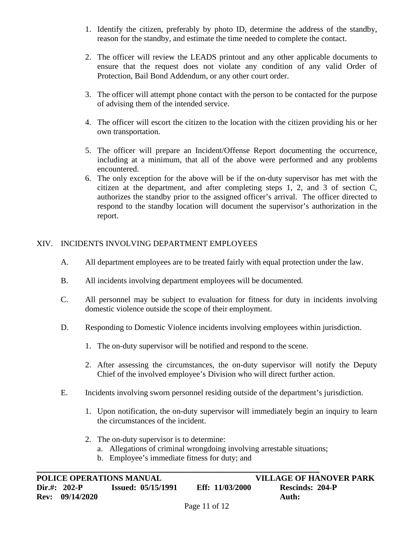- 1. Identify the citizen, preferably by photo ID, determine the address of the standby, reason for the standby, and estimate the time needed to complete the contact.
- 2. The officer will review the LEADS printout and any other applicable documents to ensure that the request does not violate any condition of any valid Order of Protection, Bail Bond Addendum, or any other court order.
- 3. The officer will attempt phone contact with the person to be contacted for the purpose of advising them of the intended service.
- 4. The officer will escort the citizen to the location with the citizen providing his or her own transportation.
- 5. The officer will prepare an Incident/Offense Report documenting the occurrence, including at a minimum, that all of the above were performed and any problems encountered.
- 6. The only exception for the above will be if the on-duty supervisor has met with the citizen at the department, and after completing steps 1, 2, and 3 of section C, authorizes the standby prior to the assigned officer's arrival. The officer directed to respond to the standby location will document the supervisor's authorization in the report.

## XIV. INCIDENTS INVOLVING DEPARTMENT EMPLOYEES

- A. All department employees are to be treated fairly with equal protection under the law.
- B. All incidents involving department employees will be documented.
- C. All personnel may be subject to evaluation for fitness for duty in incidents involving domestic violence outside the scope of their employment.
- D. Responding to Domestic Violence incidents involving employees within jurisdiction.
	- 1. The on-duty supervisor will be notified and respond to the scene.
	- 2. After assessing the circumstances, the on-duty supervisor will notify the Deputy Chief of the involved employee's Division who will direct further action.
- E. Incidents involving sworn personnel residing outside of the department's jurisdiction.
	- 1. Upon notification, the on-duty supervisor will immediately begin an inquiry to learn the circumstances of the incident.
	- 2. The on-duty supervisor is to determine:
		- a. Allegations of criminal wrongdoing involving arrestable situations;
		- b. Employee's immediate fitness for duty; and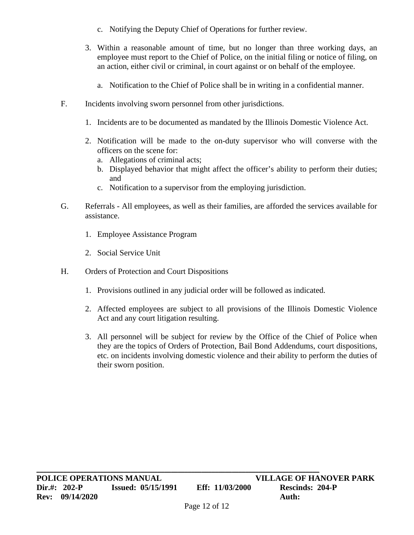- c. Notifying the Deputy Chief of Operations for further review.
- 3. Within a reasonable amount of time, but no longer than three working days, an employee must report to the Chief of Police, on the initial filing or notice of filing, on an action, either civil or criminal, in court against or on behalf of the employee.
	- a. Notification to the Chief of Police shall be in writing in a confidential manner.
- F. Incidents involving sworn personnel from other jurisdictions.
	- 1. Incidents are to be documented as mandated by the Illinois Domestic Violence Act.
	- 2. Notification will be made to the on-duty supervisor who will converse with the officers on the scene for:
		- a. Allegations of criminal acts;
		- b. Displayed behavior that might affect the officer's ability to perform their duties; and
		- c. Notification to a supervisor from the employing jurisdiction.
- G. Referrals All employees, as well as their families, are afforded the services available for assistance.
	- 1. Employee Assistance Program
	- 2. Social Service Unit
- H. Orders of Protection and Court Dispositions
	- 1. Provisions outlined in any judicial order will be followed as indicated.
	- 2. Affected employees are subject to all provisions of the Illinois Domestic Violence Act and any court litigation resulting.
	- 3. All personnel will be subject for review by the Office of the Chief of Police when they are the topics of Orders of Protection, Bail Bond Addendums, court dispositions, etc. on incidents involving domestic violence and their ability to perform the duties of their sworn position.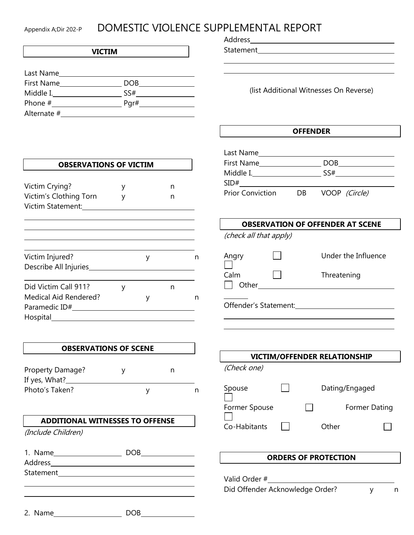# Appendix A;Dir 202-P DOMESTIC VIOLENCE SUPPLEMENTAL REPORT

#### **VICTIM**

| Last Name         |            |
|-------------------|------------|
| <b>First Name</b> | <b>DOB</b> |
| Middle I.         | SS#        |
| Phone #           | Pgr#       |
| Alternate #       |            |

**OBSERVATIONS OF VICTIM**

Address

Statement

(list Additional Witnesses On Reverse)

#### **OFFENDER**

| Last Name               |    |               |
|-------------------------|----|---------------|
| <b>First Name</b>       |    | DOB           |
| Middle I.               |    | SS#           |
| SID#                    |    |               |
| <b>Prior Conviction</b> | DB | VOOP (Circle) |

# **OBSERVATION OF OFFENDER AT SCENE**

|  | (check all that apply) |
|--|------------------------|
|--|------------------------|

| Angry         | Under the Influence |
|---------------|---------------------|
| Calm<br>Other | Threatening         |
| .             |                     |

Offender's Statement:

| <b>VICTIM/OFFENDER RELATIONSHIP</b>     |  |  |       |                                        |  |
|-----------------------------------------|--|--|-------|----------------------------------------|--|
| (Check one)                             |  |  |       |                                        |  |
| Spouse<br>Former Spouse<br>Co-Habitants |  |  | Other | Dating/Engaged<br><b>Former Dating</b> |  |
|                                         |  |  |       |                                        |  |

#### **ORDERS OF PROTECTION**

Valid Order #\_\_\_\_\_\_\_ Did Offender Acknowledge Order? y m

Victim Crying? What is a series of the series of the series of the series of the series of the series of the s Victim's Clothing Torn y m Victim Statement: Victim Injured? y n Describe All Injuries Did Victim Call 911? y m Medical Aid Rendered? The Medical Aid Rendered? Paramedic ID# Hospital and the second state of the second state of the second state of the second state of the second state of the second state  $\sim$ 

#### **OBSERVATIONS OF SCENE**

| Property Damage? |  |  |
|------------------|--|--|
| If yes, What?    |  |  |
| Photo's Taken?   |  |  |

#### **ADDITIONAL WITNESSES TO OFFENSE**

(Include Children)

| 1. Name        | DOR |
|----------------|-----|
| <b>Address</b> |     |

Statement

| 2. Name | <b>DOR</b> |  |
|---------|------------|--|
|         |            |  |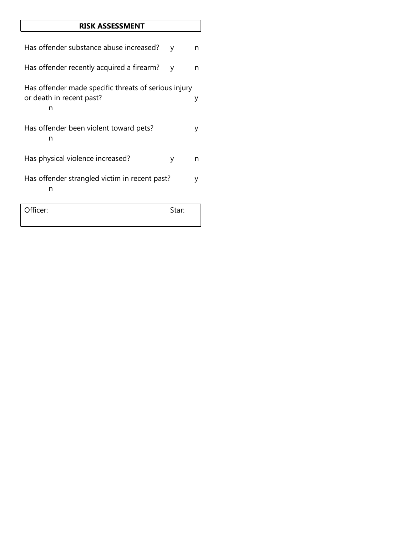### **RISK ASSESSMENT**

| Has offender substance abuse increased?                                               | ٧     | n. |
|---------------------------------------------------------------------------------------|-------|----|
| Has offender recently acquired a firearm?                                             | y     | n  |
| Has offender made specific threats of serious injury<br>or death in recent past?<br>n |       | у  |
| Has offender been violent toward pets?<br>n                                           |       |    |
| Has physical violence increased?                                                      | у     | n  |
| Has offender strangled victim in recent past?<br>n                                    |       | v  |
| Officer:                                                                              | Star: |    |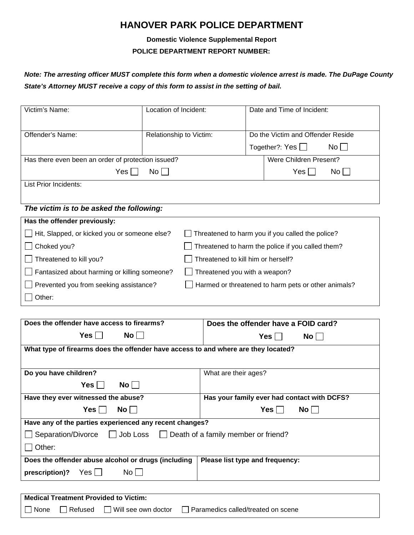# **HANOVER PARK POLICE DEPARTMENT**

## **Domestic Violence Supplemental Report POLICE DEPARTMENT REPORT NUMBER:**

## *Note: The arresting officer MUST complete this form when a domestic violence arrest is made. The DuPage County State's Attorney MUST receive a copy of this form to assist in the setting of bail.*

| Victim's Name:                                     | Location of Incident:                             |                                                     |  | Date and Time of Incident:                       |
|----------------------------------------------------|---------------------------------------------------|-----------------------------------------------------|--|--------------------------------------------------|
|                                                    |                                                   |                                                     |  |                                                  |
| Offender's Name:                                   |                                                   | Relationship to Victim:                             |  | Do the Victim and Offender Reside                |
|                                                    |                                                   |                                                     |  | Together?: Yes $\Box$<br>$No$                    |
| Has there even been an order of protection issued? |                                                   |                                                     |  | Were Children Present?                           |
| Yes                                                | $No$                                              |                                                     |  | Yes <br>No l                                     |
| List Prior Incidents:                              |                                                   |                                                     |  |                                                  |
|                                                    |                                                   |                                                     |  |                                                  |
| The victim is to be asked the following:           |                                                   |                                                     |  |                                                  |
| Has the offender previously:                       |                                                   |                                                     |  |                                                  |
| Hit, Slapped, or kicked you or someone else?       |                                                   |                                                     |  | Threatened to harm you if you called the police? |
| Choked you?                                        | Threatened to harm the police if you called them? |                                                     |  |                                                  |
| Threatened to kill you?                            |                                                   | Threatened to kill him or herself?                  |  |                                                  |
| Fantasized about harming or killing someone?       | Threatened you with a weapon?                     |                                                     |  |                                                  |
| Prevented you from seeking assistance?             |                                                   | Harmed or threatened to harm pets or other animals? |  |                                                  |
| Other:                                             |                                                   |                                                     |  |                                                  |

| Does the offender have access to firearms?                                         | Does the offender have a FOID card?         |  |  |
|------------------------------------------------------------------------------------|---------------------------------------------|--|--|
| No    <br>Yes                                                                      | Yes    <br>$No$                             |  |  |
| What type of firearms does the offender have access to and where are they located? |                                             |  |  |
|                                                                                    |                                             |  |  |
| Do you have children?                                                              | What are their ages?                        |  |  |
| $Yes \mid \mid$<br>$No$                                                            |                                             |  |  |
| Have they ever witnessed the abuse?                                                | Has your family ever had contact with DCFS? |  |  |
| Yes ⊟<br>$\mathsf{No} \mid \bot$                                                   | Yes l<br>$No$   $\blacksquare$              |  |  |
| Have any of the parties experienced any recent changes?                            |                                             |  |  |
| Separation/Divorce JJ Job Loss JD eath of a family member or friend?               |                                             |  |  |
| Other:                                                                             |                                             |  |  |
| Does the offender abuse alcohol or drugs (including                                | Please list type and frequency:             |  |  |
| Yes    <br>$No$    <br>prescription)?                                              |                                             |  |  |
|                                                                                    |                                             |  |  |
| <b>Medical Treatment Provided to Victim:</b>                                       |                                             |  |  |